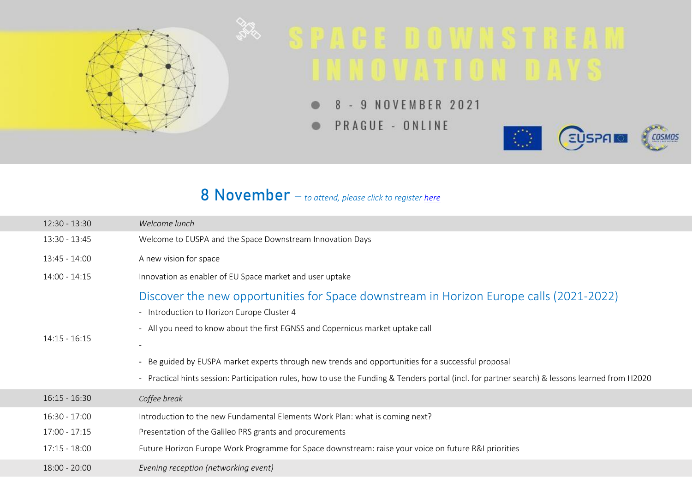

# 8 November – *to attend, please click to register [here](https://www.euspa.europa.eu/space-downstream-innovation-days)*

| $12:30 - 13:30$ | Welcome lunch                                                                                                                                                                                                                                                                                                                                                                                                                                                                    |
|-----------------|----------------------------------------------------------------------------------------------------------------------------------------------------------------------------------------------------------------------------------------------------------------------------------------------------------------------------------------------------------------------------------------------------------------------------------------------------------------------------------|
| 13:30 - 13:45   | Welcome to EUSPA and the Space Downstream Innovation Days                                                                                                                                                                                                                                                                                                                                                                                                                        |
| 13:45 - 14:00   | A new vision for space                                                                                                                                                                                                                                                                                                                                                                                                                                                           |
| $14:00 - 14:15$ | Innovation as enabler of EU Space market and user uptake                                                                                                                                                                                                                                                                                                                                                                                                                         |
| $14:15 - 16:15$ | Discover the new opportunities for Space downstream in Horizon Europe calls (2021-2022)<br>- Introduction to Horizon Europe Cluster 4<br>- All you need to know about the first EGNSS and Copernicus market uptake call<br>- Be guided by EUSPA market experts through new trends and opportunities for a successful proposal<br>- Practical hints session: Participation rules, how to use the Funding & Tenders portal (incl. for partner search) & lessons learned from H2020 |
| $16:15 - 16:30$ | Coffee break                                                                                                                                                                                                                                                                                                                                                                                                                                                                     |
| 16:30 - 17:00   | Introduction to the new Fundamental Elements Work Plan: what is coming next?                                                                                                                                                                                                                                                                                                                                                                                                     |
| 17:00 - 17:15   | Presentation of the Galileo PRS grants and procurements                                                                                                                                                                                                                                                                                                                                                                                                                          |
| $17:15 - 18:00$ | Future Horizon Europe Work Programme for Space downstream: raise your voice on future R&I priorities                                                                                                                                                                                                                                                                                                                                                                             |
| $18:00 - 20:00$ | Evening reception (networking event)                                                                                                                                                                                                                                                                                                                                                                                                                                             |